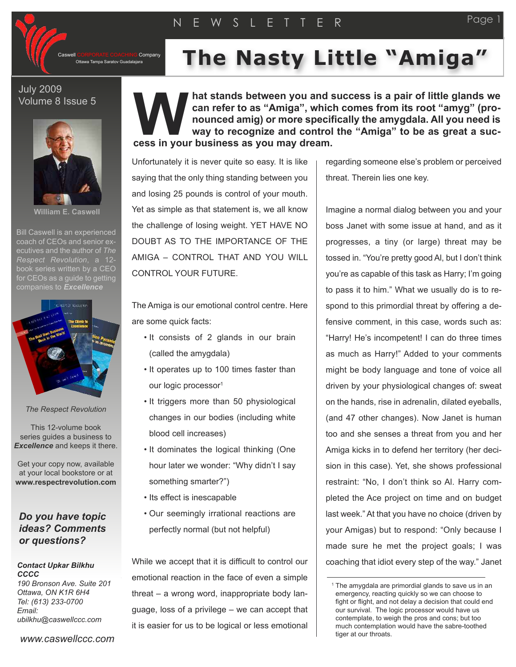

Company

**THE Nasty Little Nasty Little Mamigalalajara Mamigala** 

## July 2009 Volume 8 Issue 5



**William E. Caswell**

Bill Caswell is an experienced coach of CEOs and senior executives and the author of *The Respect Revolution*, a 12 book series written by a CEO for CEOs as a quide to getting companies to *Excellence*



*The Respect Revolution*

This 12-volume book series guides a business to *Excellence* and keeps it there.

Get your copy now, available at your local bookstore or at **www.respectrevolution.com**

## *Do you have topic ideas? Comments or questions?*

## *Contact Upkar Bilkhu CCCC*

*190 Bronson Ave. Suite 201 Ottawa, ON K1R 6H4 Tel: (613) 233-0700 Email: ubilkhu@caswellccc.com*

*www.caswellccc.com*

**hat stands between you and success is a pair of little glands we can refer to as "Amiga", which comes from its root "amyg" (pronounced amig) or more specifically the amygdala. All you need is way to recognize and control the "Amiga" to be as great a success in your business as you may dream. W**

Unfortunately it is never quite so easy. It is like saying that the only thing standing between you and losing 25 pounds is control of your mouth. Yet as simple as that statement is, we all know the challenge of losing weight. YET HAVE NO DOUBT AS TO THE IMPORTANCE OF THE AMIGA – CONTROL THAT AND YOU WILL CONTROL YOUR FUTURE.

The Amiga is our emotional control centre. Here are some quick facts:

- It consists of 2 glands in our brain (called the amygdala)
- It operates up to 100 times faster than our logic processor<sup>1</sup>
- It triggers more than 50 physiological changes in our bodies (including white blood cell increases)
- It dominates the logical thinking (One hour later we wonder: "Why didn't I say something smarter?")
- Its effect is inescapable
- Our seemingly irrational reactions are perfectly normal (but not helpful)

While we accept that it is difficult to control our emotional reaction in the face of even a simple threat – a wrong word, inappropriate body language, loss of a privilege – we can accept that it is easier for us to be logical or less emotional

regarding someone else's problem or perceived threat. Therein lies one key.

Imagine a normal dialog between you and your boss Janet with some issue at hand, and as it progresses, a tiny (or large) threat may be tossed in. "You're pretty good Al, but I don't think you're as capable of this task as Harry; I'm going to pass it to him." What we usually do is to respond to this primordial threat by offering a defensive comment, in this case, words such as: "Harry! He's incompetent! I can do three times as much as Harry!" Added to your comments might be body language and tone of voice all driven by your physiological changes of: sweat on the hands, rise in adrenalin, dilated eyeballs, (and 47 other changes). Now Janet is human too and she senses a threat from you and her Amiga kicks in to defend her territory (her decision in this case). Yet, she shows professional restraint: "No, I don't think so Al. Harry completed the Ace project on time and on budget last week." At that you have no choice (driven by your Amigas) but to respond: "Only because I made sure he met the project goals; I was coaching that idiot every step of the way." Janet

Page

<sup>&</sup>lt;sup>1</sup> The amygdala are primordial glands to save us in an emergency, reacting quickly so we can choose to fight or flight, and not delay a decision that could end our survival. The logic processor would have us contemplate, to weigh the pros and cons; but too much contemplation would have the sabre-toothed tiger at our throats.